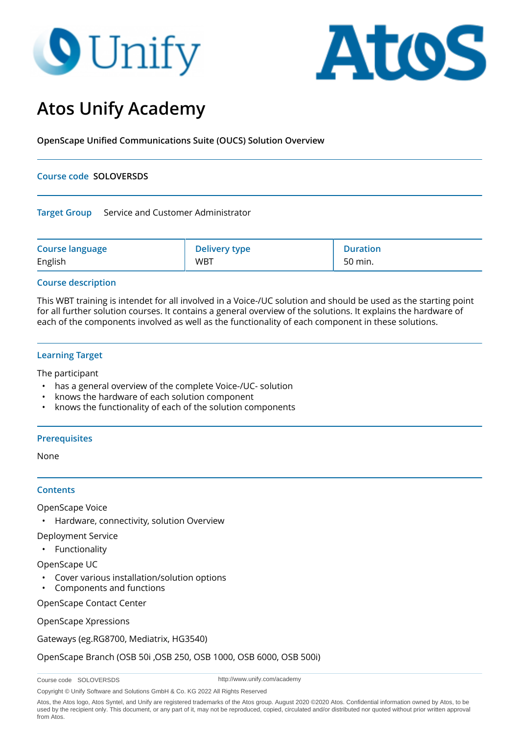# **O** Unify



# **Atos Unify Academy**

**OpenScape Unified Communications Suite (OUCS) Solution Overview**

# **Course code SOLOVERSDS**

#### **Target Group** Service and Customer Administrator

| <b>Course language</b> | <b>Delivery type</b> | <b>Duration</b> |
|------------------------|----------------------|-----------------|
| English                | <b>WBT</b>           | 50 min.         |

# **Course description**

This WBT training is intendet for all involved in a Voice-/UC solution and should be used as the starting point for all further solution courses. It contains a general overview of the solutions. It explains the hardware of each of the components involved as well as the functionality of each component in these solutions.

# **Learning Target**

The participant

- has a general overview of the complete Voice-/UC- solution
- knows the hardware of each solution component
- knows the functionality of each of the solution components

#### **Prerequisites**

None

#### **Contents**

OpenScape Voice

• Hardware, connectivity, solution Overview

Deployment Service

• Functionality

OpenScape UC

- Cover various installation/solution options
- Components and functions

OpenScape Contact Center

OpenScape Xpressions

Gateways (eg.RG8700, Mediatrix, HG3540)

OpenScape Branch (OSB 50i ,OSB 250, OSB 1000, OSB 6000, OSB 500i)

Course code SOLOVERSDS

http://www.unify.com/academy

Copyright © Unify Software and Solutions GmbH & Co. KG 2022 All Rights Reserved

Atos, the Atos logo, Atos Syntel, and Unify are registered trademarks of the Atos group. August 2020 ©2020 Atos. Confidential information owned by Atos, to be used by the recipient only. This document, or any part of it, may not be reproduced, copied, circulated and/or distributed nor quoted without prior written approval from Atos.